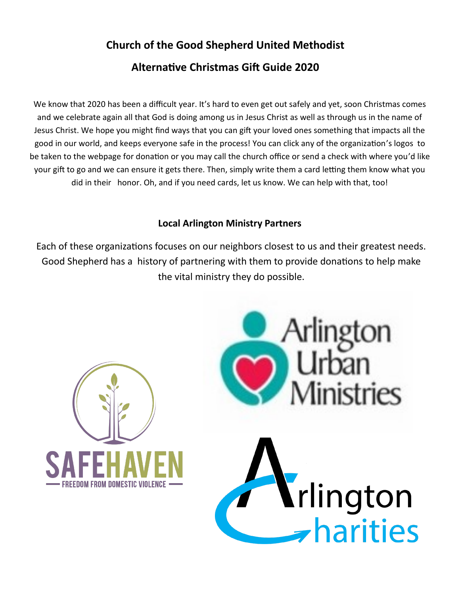## **Church of the Good Shepherd United Methodist**

## **Alternative Christmas Gift Guide 2020**

We know that 2020 has been a difficult year. It's hard to even get out safely and yet, soon Christmas comes and we celebrate again all that God is doing among us in Jesus Christ as well as through us in the name of Jesus Christ. We hope you might find ways that you can gift your loved ones something that impacts all the good in our world, and keeps everyone safe in the process! You can click any of the organization's logos to be taken to the webpage for donation or you may call the church office or send a check with where you'd like your gift to go and we can ensure it gets there. Then, simply write them a card letting them know what you did in their honor. Oh, and if you need cards, let us know. We can help with that, too!

## **Local Arlington Ministry Partners**

Each of these organizations focuses on our neighbors closest to us and their greatest needs. Good Shepherd has a history of partnering with them to provide donations to help make the vital ministry they do possible.